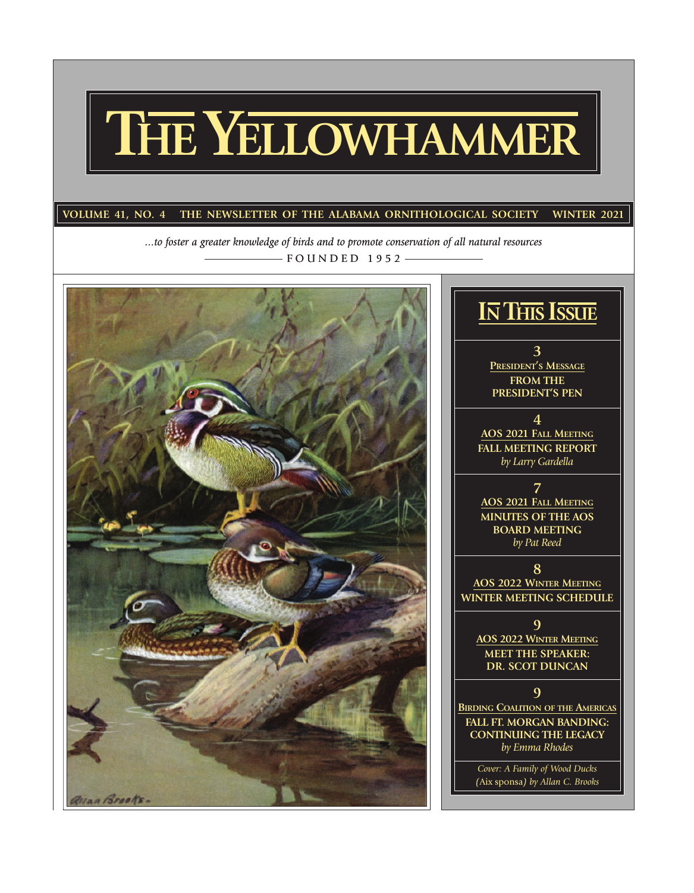# **THE YELLOWHAMMER**

### VOLUME 41, NO. 4 THE NEWSLETTER OF THE ALABAMA ORNITHOLOGICAL SOCIETY WINTER 2021

*...to foster a greater knowledge of birds and to promote conservation of all natural resources*  $-$  FOUNDED 1952  $-$ 



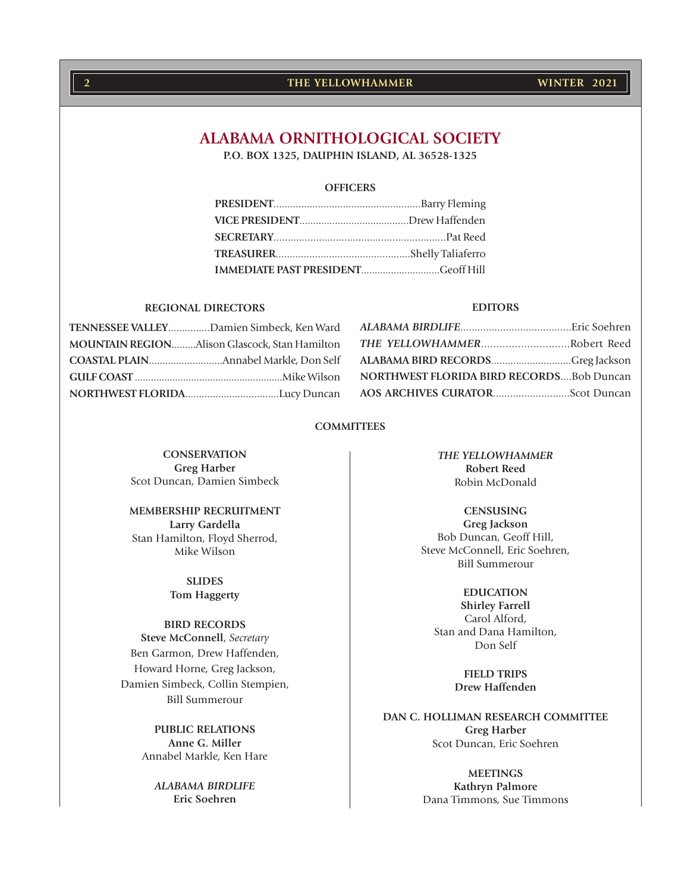## **2 WINTER 2021 THE YELLOWHAMMER**

### **ALABAMA ORNITHOLOGICAL SOCIETY**

**P.O. BOX 1325, DAUPHIN ISLAND, AL 36528-1325**

#### **OFFICERS**

| IMMEDIATE PAST PRESIDENTGeoff Hill |  |
|------------------------------------|--|

#### **REGIONAL DIRECTORS**

| TENNESSEE VALLEYDamien Simbeck, Ken Ward      |  |
|-----------------------------------------------|--|
| MOUNTAIN REGIONAlison Glascock, Stan Hamilton |  |
|                                               |  |
|                                               |  |
|                                               |  |

#### **EDITORS**

| THE YELLOWHAMMERRobert Reed                     |  |
|-------------------------------------------------|--|
| ALABAMA BIRD RECORDSGreg Jackson                |  |
| <b>NORTHWEST FLORIDA BIRD RECORDSBob Duncan</b> |  |
| AOS ARCHIVES CURATORScot Duncan                 |  |

#### **COMMITTEES**

**CONSERVATION Greg Harber** Scot Duncan, Damien Simbeck

**MEMBERSHIP RECRUITMENT Larry Gardella** Stan Hamilton, Floyd Sherrod, Mike Wilson

> **SLIDES Tom Haggerty**

#### **BIRD RECORDS**

**Steve McConnell**, *Secretary* Ben Garmon, Drew Haffenden, Howard Horne, Greg Jackson, Damien Simbeck, Collin Stempien, Bill Summerour

> **PUBLIC RELATIONS Anne G. Miller** Annabel Markle, Ken Hare

*ALABAMA BIRDLIFE* **Eric Soehren**

*THE YELLOWHAMMER* **Robert Reed** Robin McDonald

**CENSUSING Greg Jackson** Bob Duncan, Geoff Hill, Steve McConnell, Eric Soehren, Bill Summerour

**EDUCATION Shirley Farrell** Carol Alford, Stan and Dana Hamilton, Don Self

> **FIELD TRIPS Drew Haffenden**

**DAN C. HOLLIMAN RESEARCH COMMITTEE Greg Harber** Scot Duncan, Eric Soehren

> **MEETINGS Kathryn Palmore** Dana Timmons, Sue Timmons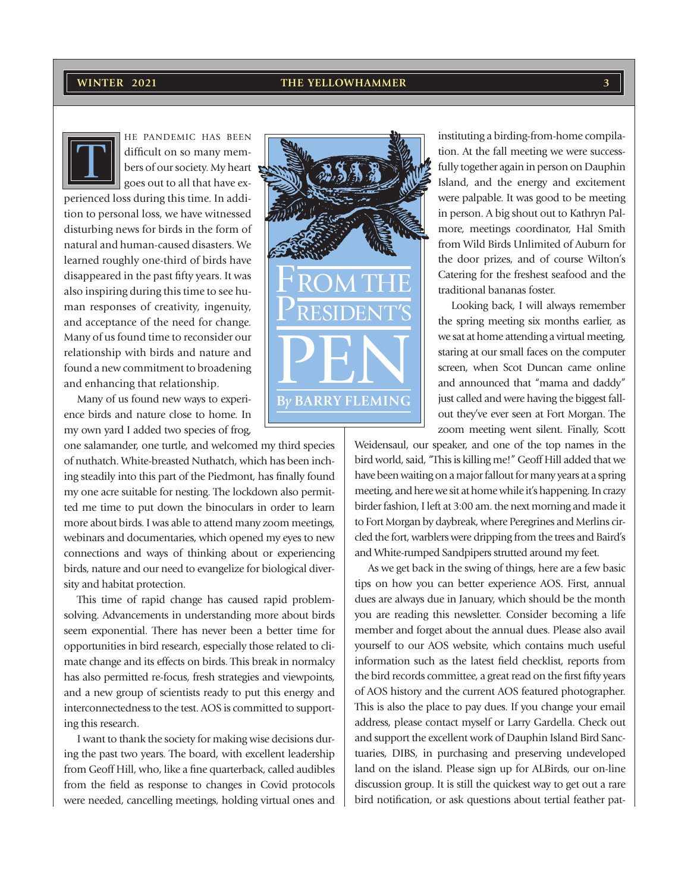#### **WINTER 2021 3**



HE PANDEMIC HAS BEEN difficult on so many members of our society. My heart goes out to all that have ex-

perienced loss during this time. In addition to personal loss, we have witnessed disturbing news for birds in the form of natural and human-caused disasters. We learned roughly one-third of birds have disappeared in the past fifty years. It was also inspiring during this time to see human responses of creativity, ingenuity, and acceptance of the need for change. Many of us found time to reconsider our relationship with birds and nature and found a new commitment to broadening and enhancing that relationship.

Many of us found new ways to experience birds and nature close to home. In my own yard I added two species of frog,

one salamander, one turtle, and welcomed my third species of nuthatch. White-breasted Nuthatch, which has been inching steadily into this part of the Piedmont, has finally found my one acre suitable for nesting. The lockdown also permitted me time to put down the binoculars in order to learn more about birds. I was able to attend many zoom meetings, webinars and documentaries, which opened my eyes to new connections and ways of thinking about or experiencing birds, nature and our need to evangelize for biological diversity and habitat protection.

This time of rapid change has caused rapid problemsolving. Advancements in understanding more about birds seem exponential. There has never been a better time for opportunities in bird research, especially those related to climate change and its effects on birds. This break in normalcy has also permitted re-focus, fresh strategies and viewpoints, and a new group of scientists ready to put this energy and interconnectedness to the test. AOS is committed to supporting this research.

I want to thank the society for making wise decisions during the past two years. The board, with excellent leadership from Geoff Hill, who, like a fine quarterback, called audibles from the field as response to changes in Covid protocols were needed, cancelling meetings, holding virtual ones and



instituting a birding-from-home compilation. At the fall meeting we were successfully together again in person on Dauphin Island, and the energy and excitement were palpable. It was good to be meeting in person. A big shout out to Kathryn Palmore, meetings coordinator, Hal Smith from Wild Birds Unlimited of Auburn for the door prizes, and of course Wilton's Catering for the freshest seafood and the traditional bananas foster.

Looking back, I will always remember the spring meeting six months earlier, as we sat at home attending a virtual meeting, staring at our small faces on the computer screen, when Scot Duncan came online and announced that "mama and daddy" just called and were having the biggest fallout they've ever seen at Fort Morgan. The zoom meeting went silent. Finally, Scott

Weidensaul, our speaker, and one of the top names in the bird world, said, "This is killing me!" Geoff Hill added that we have been waiting on a major fallout for many years at a spring meeting, and here we sit at home while it's happening. In crazy birder fashion, I left at 3:00 am. the next morning and made it to Fort Morgan by daybreak, where Peregrines and Merlins circled the fort, warblers were dripping from the trees and Baird's and White-rumped Sandpipers strutted around my feet.

As we get back in the swing of things, here are a few basic tips on how you can better experience AOS. First, annual dues are always due in January, which should be the month you are reading this newsletter. Consider becoming a life member and forget about the annual dues. Please also avail yourself to our AOS website, which contains much useful information such as the latest field checklist, reports from the bird records committee, a great read on the first fifty years of AOS history and the current AOS featured photographer. This is also the place to pay dues. If you change your email address, please contact myself or Larry Gardella. Check out and support the excellent work of Dauphin Island Bird Sanctuaries, DIBS, in purchasing and preserving undeveloped land on the island. Please sign up for ALBirds, our on-line discussion group. It is still the quickest way to get out a rare bird notification, or ask questions about tertial feather pat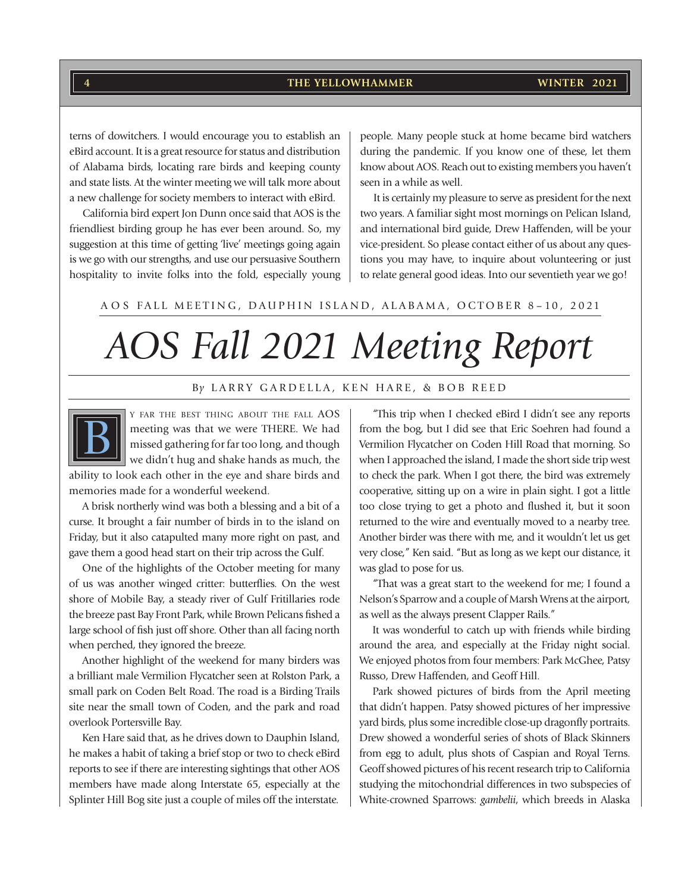**4 WINTER 2021 THE YELLOWHAMMER**

terns of dowitchers. I would encourage you to establish an eBird account. It is a great resource for status and distribution of Alabama birds, locating rare birds and keeping county and state lists. At the winter meeting we will talk more about a new challenge for society members to interact with eBird.

California bird expert Jon Dunn once said that AOS is the friendliest birding group he has ever been around. So, my suggestion at this time of getting 'live' meetings going again is we go with our strengths, and use our persuasive Southern hospitality to invite folks into the fold, especially young people. Many people stuck at home became bird watchers during the pandemic. If you know one of these, let them know about AOS. Reach out to existing members you haven't seen in a while as well.

It is certainly my pleasure to serve as president for the next two years. A familiar sight most mornings on Pelican Island, and international bird guide, Drew Haffenden, will be your vice-president. So please contact either of us about any questions you may have, to inquire about volunteering or just to relate general good ideas. Into our seventieth year we go!

#### A O S FALL MEETING, DAUPHIN ISLAND, ALABAMA, OCTOBER 8–10, 2021

# *AOS Fall 2021 Meeting Report*

#### B*y* LARRY GARDELLA, KEN HARE, & BOB REED



Y FAR THE BEST THING ABOUT THE FALL AOS meeting was that we were THERE. We had missed gathering for far too long, and though we didn't hug and shake hands as much, the ability to look each other in the eye and share birds and

memories made for a wonderful weekend.

A brisk northerly wind was both a blessing and a bit of a curse. It brought a fair number of birds in to the island on Friday, but it also catapulted many more right on past, and gave them a good head start on their trip across the Gulf.

One of the highlights of the October meeting for many of us was another winged critter: butterflies. On the west shore of Mobile Bay, a steady river of Gulf Fritillaries rode the breeze past Bay Front Park, while Brown Pelicans fished a large school of fish just off shore. Other than all facing north when perched, they ignored the breeze.

Another highlight of the weekend for many birders was a brilliant male Vermilion Flycatcher seen at Rolston Park, a small park on Coden Belt Road. The road is a Birding Trails site near the small town of Coden, and the park and road overlook Portersville Bay.

Ken Hare said that, as he drives down to Dauphin Island, he makes a habit of taking a brief stop or two to check eBird reports to see if there are interesting sightings that other AOS members have made along Interstate 65, especially at the Splinter Hill Bog site just a couple of miles off the interstate.

"This trip when I checked eBird I didn't see any reports from the bog, but I did see that Eric Soehren had found a Vermilion Flycatcher on Coden Hill Road that morning. So when I approached the island, I made the short side trip west to check the park. When I got there, the bird was extremely cooperative, sitting up on a wire in plain sight. I got a little too close trying to get a photo and flushed it, but it soon returned to the wire and eventually moved to a nearby tree. Another birder was there with me, and it wouldn't let us get very close," Ken said. "But as long as we kept our distance, it was glad to pose for us.

"That was a great start to the weekend for me; I found a Nelson's Sparrow and a couple of Marsh Wrens at the airport, as well as the always present Clapper Rails."

It was wonderful to catch up with friends while birding around the area, and especially at the Friday night social. We enjoyed photos from four members: Park McGhee, Patsy Russo, Drew Haffenden, and Geoff Hill.

Park showed pictures of birds from the April meeting that didn't happen. Patsy showed pictures of her impressive yard birds, plus some incredible close-up dragonfly portraits. Drew showed a wonderful series of shots of Black Skinners from egg to adult, plus shots of Caspian and Royal Terns. Geoff showed pictures of his recent research trip to California studying the mitochondrial differences in two subspecies of White-crowned Sparrows: *gambelii*, which breeds in Alaska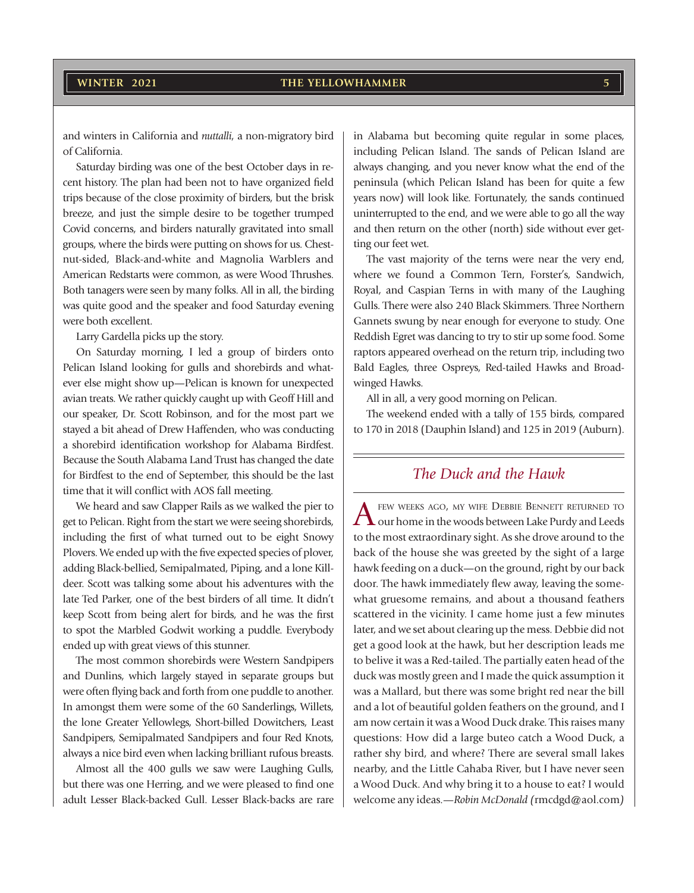and winters in California and *nuttalli*, a non-migratory bird of California.

Saturday birding was one of the best October days in recent history. The plan had been not to have organized field trips because of the close proximity of birders, but the brisk breeze, and just the simple desire to be together trumped Covid concerns, and birders naturally gravitated into small groups, where the birds were putting on shows for us. Chestnut-sided, Black-and-white and Magnolia Warblers and American Redstarts were common, as were Wood Thrushes. Both tanagers were seen by many folks. All in all, the birding was quite good and the speaker and food Saturday evening were both excellent.

Larry Gardella picks up the story.

On Saturday morning, I led a group of birders onto Pelican Island looking for gulls and shorebirds and whatever else might show up—Pelican is known for unexpected avian treats. We rather quickly caught up with Geoff Hill and our speaker, Dr. Scott Robinson, and for the most part we stayed a bit ahead of Drew Haffenden, who was conducting a shorebird identification workshop for Alabama Birdfest. Because the South Alabama Land Trust has changed the date for Birdfest to the end of September, this should be the last time that it will conflict with AOS fall meeting.

We heard and saw Clapper Rails as we walked the pier to get to Pelican. Right from the start we were seeing shorebirds, including the first of what turned out to be eight Snowy Plovers. We ended up with the five expected species of plover, adding Black-bellied, Semipalmated, Piping, and a lone Killdeer. Scott was talking some about his adventures with the late Ted Parker, one of the best birders of all time. It didn't keep Scott from being alert for birds, and he was the first to spot the Marbled Godwit working a puddle. Everybody ended up with great views of this stunner.

The most common shorebirds were Western Sandpipers and Dunlins, which largely stayed in separate groups but were often flying back and forth from one puddle to another. In amongst them were some of the 60 Sanderlings, Willets, the lone Greater Yellowlegs, Short-billed Dowitchers, Least Sandpipers, Semipalmated Sandpipers and four Red Knots, always a nice bird even when lacking brilliant rufous breasts.

Almost all the 400 gulls we saw were Laughing Gulls, but there was one Herring, and we were pleased to find one adult Lesser Black-backed Gull. Lesser Black-backs are rare in Alabama but becoming quite regular in some places, including Pelican Island. The sands of Pelican Island are always changing, and you never know what the end of the peninsula (which Pelican Island has been for quite a few years now) will look like. Fortunately, the sands continued uninterrupted to the end, and we were able to go all the way and then return on the other (north) side without ever getting our feet wet.

The vast majority of the terns were near the very end, where we found a Common Tern, Forster's, Sandwich, Royal, and Caspian Terns in with many of the Laughing Gulls. There were also 240 Black Skimmers. Three Northern Gannets swung by near enough for everyone to study. One Reddish Egret was dancing to try to stir up some food. Some raptors appeared overhead on the return trip, including two Bald Eagles, three Ospreys, Red-tailed Hawks and Broadwinged Hawks.

All in all, a very good morning on Pelican.

The weekend ended with a tally of 155 birds, compared to 170 in 2018 (Dauphin Island) and 125 in 2019 (Auburn).

### *The Duck and the Hawk*

 $A$  FEW WEEKS AGO, MY WIFE DEBBIE BENNETT RETURNED TO our home in the woods between Lake Purdy and Leeds to the most extraordinary sight. As she drove around to the back of the house she was greeted by the sight of a large hawk feeding on a duck—on the ground, right by our back door. The hawk immediately flew away, leaving the somewhat gruesome remains, and about a thousand feathers scattered in the vicinity. I came home just a few minutes later, and we set about clearing up the mess. Debbie did not get a good look at the hawk, but her description leads me to belive it was a Red-tailed. The partially eaten head of the duck was mostly green and I made the quick assumption it was a Mallard, but there was some bright red near the bill and a lot of beautiful golden feathers on the ground, and I am now certain it was a Wood Duck drake. This raises many questions: How did a large buteo catch a Wood Duck, a rather shy bird, and where? There are several small lakes nearby, and the Little Cahaba River, but I have never seen a Wood Duck. And why bring it to a house to eat? I would welcome any ideas.—*Robin McDonald (*rmcdgd@aol.com*)*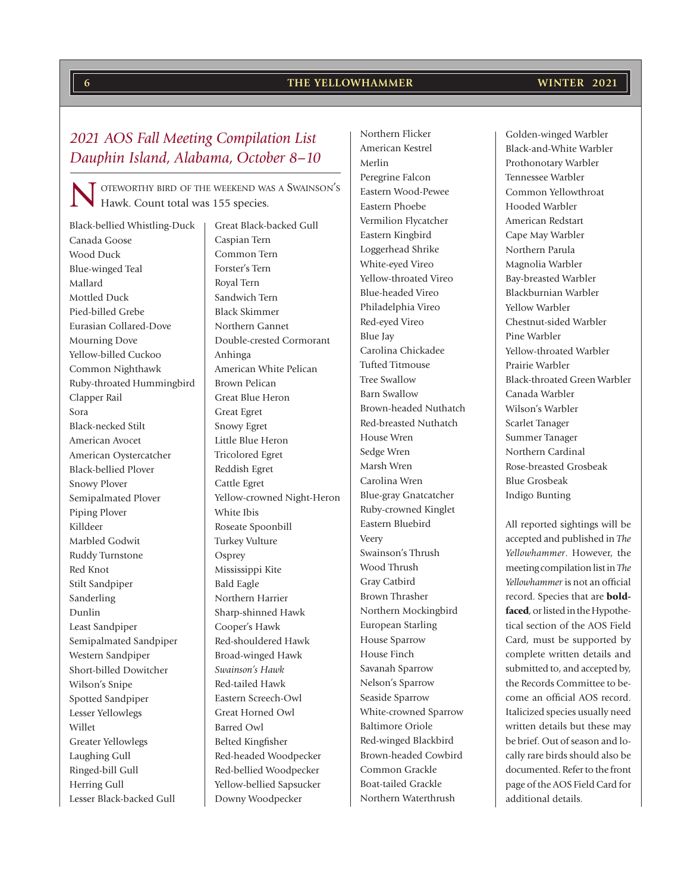Black-bellied Whistling-Duck Canada Goose Wood Duck Blue-winged Teal Mallard Mottled Duck Pied-billed Grebe Eurasian Collared-Dove Mourning Dove Yellow-billed Cuckoo Common Nighthawk Ruby-throated Hummingbird Clapper Rail Sora Black-necked Stilt American Avocet American Oystercatcher Black-bellied Plover Snowy Plover Semipalmated Plover Piping Plover Killdeer Marbled Godwit Ruddy Turnstone Red Knot Stilt Sandpiper Sanderling Dunlin Least Sandpiper Semipalmated Sandpiper Western Sandpiper Short-billed Dowitcher Wilson's Snipe Spotted Sandpiper Lesser Yellowlegs Willet Greater Yellowlegs Laughing Gull Ringed-bill Gull Herring Gull

Lesser Black-backed Gull

Great Black-backed Gull Caspian Tern Common Tern Forster's Tern Royal Tern Sandwich Tern Black Skimmer Northern Gannet Double-crested Cormorant Anhinga American White Pelican Brown Pelican Great Blue Heron Great Egret Snowy Egret Little Blue Heron Tricolored Egret Reddish Egret Cattle Egret Yellow-crowned Night-Heron White Ibis Roseate Spoonbill Turkey Vulture **Osprey** Mississippi Kite Bald Eagle Northern Harrier Sharp-shinned Hawk Cooper's Hawk Red-shouldered Hawk Broad-winged Hawk *Swainson's Hawk* Red-tailed Hawk Eastern Screech-Owl Great Horned Owl Barred Owl Belted Kingfisher Red-headed Woodpecker Red-bellied Woodpecker Yellow-bellied Sapsucker Downy Woodpecker

Northern Flicker American Kestrel Merlin Peregrine Falcon Eastern Wood-Pewee Eastern Phoebe Vermilion Flycatcher Eastern Kingbird Loggerhead Shrike White-eyed Vireo Yellow-throated Vireo Blue-headed Vireo Philadelphia Vireo Red-eyed Vireo Blue Jay Carolina Chickadee Tufted Titmouse Tree Swallow Barn Swallow Brown-headed Nuthatch Red-breasted Nuthatch House Wren Sedge Wren Marsh Wren Carolina Wren Blue-gray Gnatcatcher Ruby-crowned Kinglet Eastern Bluebird Veery Swainson's Thrush Wood Thrush Gray Catbird Brown Thrasher Northern Mockingbird European Starling House Sparrow House Finch Savanah Sparrow Nelson's Sparrow Seaside Sparrow White-crowned Sparrow Baltimore Oriole Red-winged Blackbird Brown-headed Cowbird Common Grackle Boat-tailed Grackle Northern Waterthrush

#### Prothonotary Warbler Tennessee Warbler Common Yellowthroat Hooded Warbler American Redstart Cape May Warbler Northern Parula Magnolia Warbler Bay-breasted Warbler Blackburnian Warbler Yellow Warbler Chestnut-sided Warbler Pine Warbler Yellow-throated Warbler Prairie Warbler Black-throated Green Warbler Canada Warbler Wilson's Warbler Scarlet Tanager Summer Tanager

Northern Cardinal Rose-breasted Grosbeak

Blue Grosbeak Indigo Bunting

All reported sightings will be accepted and published in *The Yellowhammer*. However, the meeting compilation list in *The Yellowhammer* is not an official record. Species that are boldfaced, or listed in the Hypothetical section of the AOS Field Card, must be supported by complete written details and submitted to, and accepted by, the Records Committee to become an official AOS record. Italicized species usually need written details but these may be brief. Out of season and locally rare birds should also be documented. Refer to the front page of the AOS Field Card for additional details.

### *2021 AOS Fall Meeting Compilation List Dauphin Island, Alabama, October 8–10*

OTEWORTHY BIRD OF THE WEEKEND WAS A SWAINSON'S Hawk. Count total was 155 species.

Golden-winged Warbler Black-and-White Warbler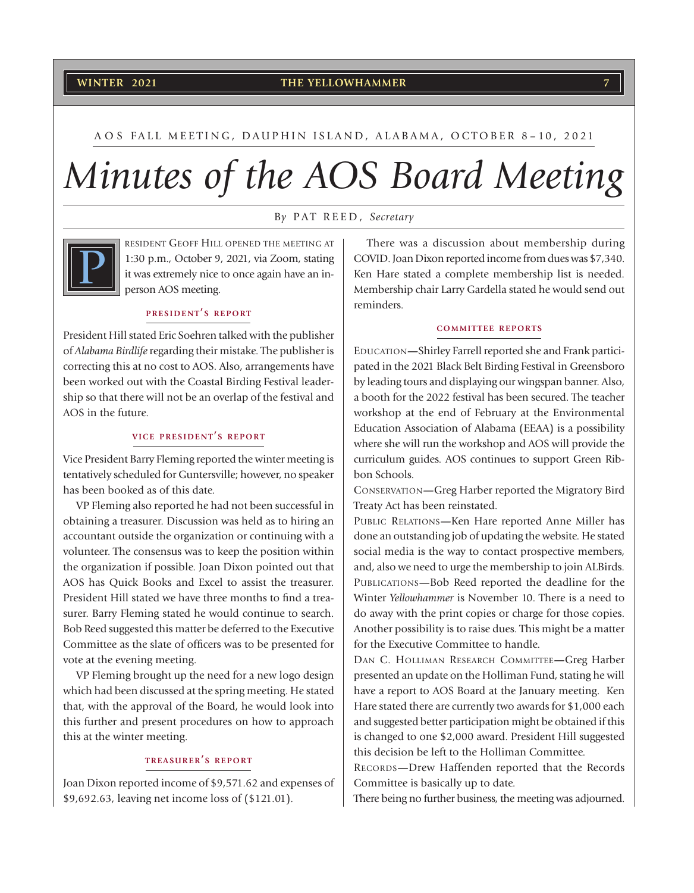#### **THE YELLOWHAMMER THE YELLOWHAMMER**

#### A O S FALL MEETING, DAUPHIN ISLAND, ALABAMA, OCTOBER 8–10, 2021

# *Minutes of the AOS Board Meeting*

#### B*y* PAT REED, *Secretary*



RESIDENT GEOFF HILL OPENED THE MEETING AT 1:30 p.m., October 9, 2021, via Zoom, stating it was extremely nice to once again have an inperson AOS meeting.

#### **PRESIDENT'S REPORT**

President Hill stated Eric Soehren talked with the publisher of *Alabama Birdlife* regarding their mistake. The publisher is correcting this at no cost to AOS. Also, arrangements have been worked out with the Coastal Birding Festival leadership so that there will not be an overlap of the festival and AOS in the future.

#### **VICE PRESIDENT'S REPORT**

Vice President Barry Fleming reported the winter meeting is tentatively scheduled for Guntersville; however, no speaker has been booked as of this date.

VP Fleming also reported he had not been successful in obtaining a treasurer. Discussion was held as to hiring an accountant outside the organization or continuing with a volunteer. The consensus was to keep the position within the organization if possible. Joan Dixon pointed out that AOS has Quick Books and Excel to assist the treasurer. President Hill stated we have three months to find a treasurer. Barry Fleming stated he would continue to search. Bob Reed suggested this matter be deferred to the Executive Committee as the slate of officers was to be presented for vote at the evening meeting.

VP Fleming brought up the need for a new logo design which had been discussed at the spring meeting. He stated that, with the approval of the Board, he would look into this further and present procedures on how to approach this at the winter meeting.

#### **TREASURER'S REPORT**

Joan Dixon reported income of \$9,571.62 and expenses of \$9,692.63, leaving net income loss of (\$121.01).

There was a discussion about membership during COVID. Joan Dixon reported income from dues was \$7,340. Ken Hare stated a complete membership list is needed. Membership chair Larry Gardella stated he would send out reminders.

#### **COMMITTEE REPORTS**

EDUCATION**—**Shirley Farrell reported she and Frank participated in the 2021 Black Belt Birding Festival in Greensboro by leading tours and displaying our wingspan banner. Also, a booth for the 2022 festival has been secured. The teacher workshop at the end of February at the Environmental Education Association of Alabama (EEAA) is a possibility where she will run the workshop and AOS will provide the curriculum guides. AOS continues to support Green Ribbon Schools.

CONSERVATION**—**Greg Harber reported the Migratory Bird Treaty Act has been reinstated.

PUBLIC RELATIONS**—**Ken Hare reported Anne Miller has done an outstanding job of updating the website. He stated social media is the way to contact prospective members, and, also we need to urge the membership to join ALBirds. PUBLICATIONS**—**Bob Reed reported the deadline for the Winter *Yellowhammer* is November 10. There is a need to do away with the print copies or charge for those copies. Another possibility is to raise dues. This might be a matter for the Executive Committee to handle.

DAN C. HOLLIMAN RESEARCH COMMITTEE**—**Greg Harber presented an update on the Holliman Fund, stating he will have a report to AOS Board at the January meeting. Ken Hare stated there are currently two awards for \$1,000 each and suggested better participation might be obtained if this is changed to one \$2,000 award. President Hill suggested this decision be left to the Holliman Committee.

RECORDS**—**Drew Haffenden reported that the Records Committee is basically up to date.

There being no further business, the meeting was adjourned.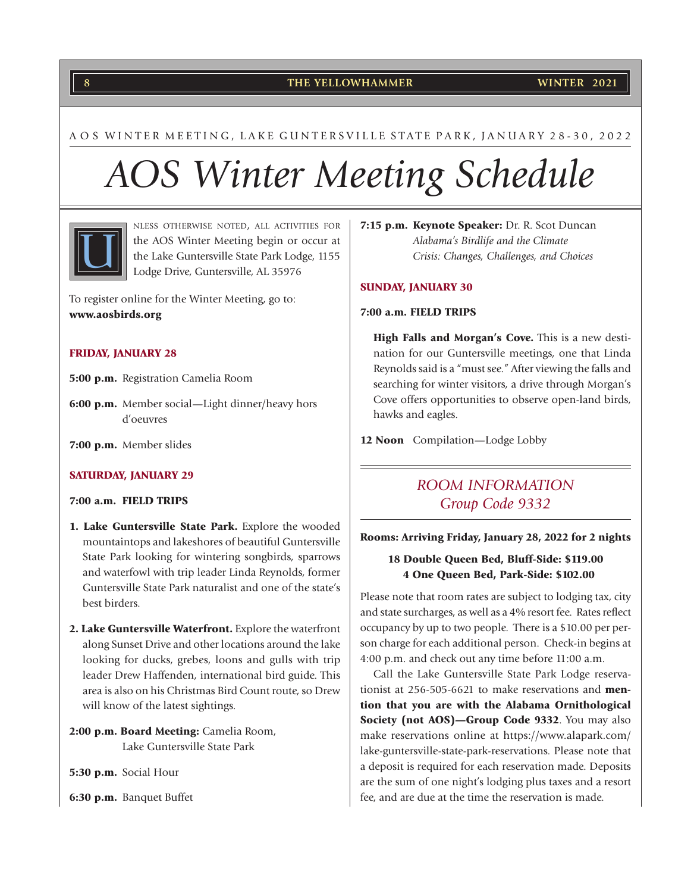#### **THE YELLOWHAMMER 8 WINTER 2021**

#### A O S WINTER MEETING, LAKE GUNTERSVILLE STATE PARK, JANUARY 28-30, 2022

# *AOS Winter Meeting Schedule*



NLESS OTHERWISE NOTED, ALL ACTIVITIES FOR the AOS Winter Meeting begin or occur at the Lake Guntersville State Park Lodge, 1155 Lodge Drive, Guntersville, AL 35976

To register online for the Winter Meeting, go to: www.aosbirds.org

#### FRIDAY, JANUARY 28

- 5:00 p.m. Registration Camelia Room
- 6:00 p.m. Member social—Light dinner/heavy hors d'oeuvres
- 7:00 p.m. Member slides

#### SATURDAY, JANUARY 29

#### 7:00 a.m. FIELD TRIPS

- 1. Lake Guntersville State Park. Explore the wooded mountaintops and lakeshores of beautiful Guntersville State Park looking for wintering songbirds, sparrows and waterfowl with trip leader Linda Reynolds, former Guntersville State Park naturalist and one of the state's best birders.
- 2. Lake Guntersville Waterfront. Explore the waterfront along Sunset Drive and other locations around the lake looking for ducks, grebes, loons and gulls with trip leader Drew Haffenden, international bird guide. This area is also on his Christmas Bird Count route, so Drew will know of the latest sightings.
- 2:00 p.m. Board Meeting: Camelia Room, Lake Guntersville State Park

5:30 p.m. Social Hour

6:30 p.m. Banquet Buffet

7:15 p.m. Keynote Speaker: Dr. R. Scot Duncan *Alabama's Birdlife and the Climate Crisis: Changes, Challenges, and Choices*

#### SUNDAY, JANUARY 30

#### 7:00 a.m. FIELD TRIPS

High Falls and Morgan's Cove. This is a new destination for our Guntersville meetings, one that Linda Reynolds said is a "must see." After viewing the falls and searching for winter visitors, a drive through Morgan's Cove offers opportunities to observe open-land birds, hawks and eagles.

12 Noon Compilation—Lodge Lobby

### *ROOM INFORMATION Group Code 9332*

#### Rooms: Arriving Friday, January 28, 2022 for 2 nights

#### 18 Double Queen Bed, Bluff-Side: \$119.00 4 One Queen Bed, Park-Side: \$102.00

Please note that room rates are subject to lodging tax, city and state surcharges, as well as a 4% resort fee. Rates reflect occupancy by up to two people. There is a \$10.00 per person charge for each additional person. Check-in begins at 4:00 p.m. and check out any time before 11:00 a.m.

Call the Lake Guntersville State Park Lodge reservationist at 256-505-6621 to make reservations and **men**tion that you are with the Alabama Ornithological Society (not AOS)-Group Code 9332. You may also make reservations online at https://www.alapark.com/ lake-guntersville-state-park-reservations. Please note that a deposit is required for each reservation made. Deposits are the sum of one night's lodging plus taxes and a resort fee, and are due at the time the reservation is made.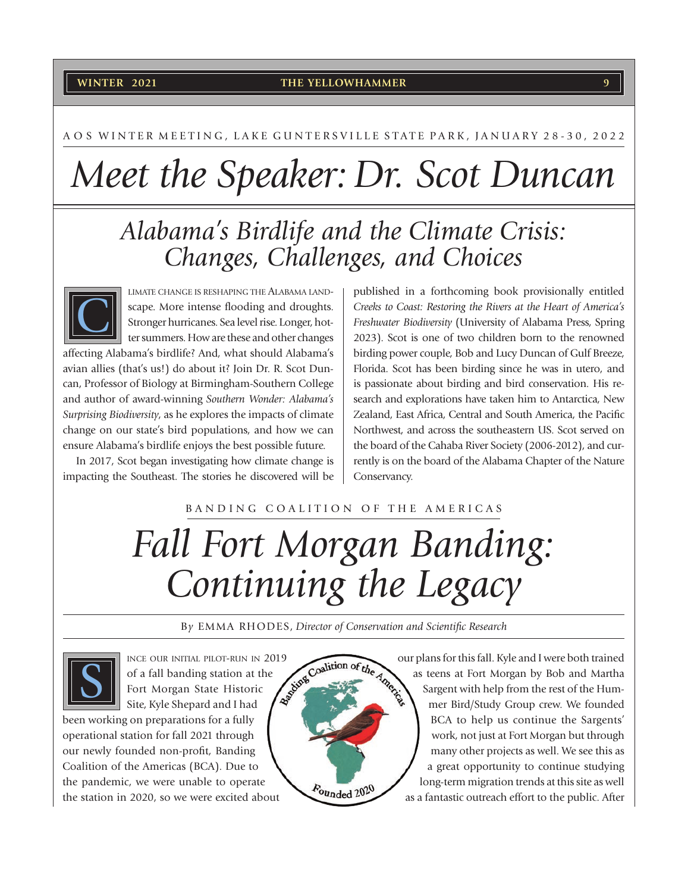#### **THE YELLOWHAMMER WINTER 2021 9**

#### A O S WINTER MEETING, LAKE GUNTERSVILLE STATE PARK, JANUARY 28-30, 2022

# *Meet the Speaker: Dr. Scot Duncan*

## *Alabama's Birdlife and the Climate Crisis: Changes, Challenges, and Choices*



LIMATE CHANGE IS RESHAPING THE ALABAMA LANDscape. More intense flooding and droughts. Stronger hurricanes. Sea level rise. Longer, hotter summers. How are these and other changes

affecting Alabama's birdlife? And, what should Alabama's avian allies (that's us!) do about it? Join Dr. R. Scot Duncan, Professor of Biology at Birmingham-Southern College and author of award-winning *Southern Wonder: Alabama's Surprising Biodiversity*, as he explores the impacts of climate change on our state's bird populations, and how we can ensure Alabama's birdlife enjoys the best possible future.

In 2017, Scot began investigating how climate change is impacting the Southeast. The stories he discovered will be

published in a forthcoming book provisionally entitled *Creeks to Coast: Restoring the Rivers at the Heart of America's Freshwater Biodiversity* (University of Alabama Press, Spring 2023). Scot is one of two children born to the renowned birding power couple, Bob and Lucy Duncan of Gulf Breeze, Florida. Scot has been birding since he was in utero, and is passionate about birding and bird conservation. His research and explorations have taken him to Antarctica, New Zealand, East Africa, Central and South America, the Pacific Northwest, and across the southeastern US. Scot served on the board of the Cahaba River Society (2006-2012), and currently is on the board of the Alabama Chapter of the Nature Conservancy.

#### BANDING COALITION OF THE AMERICAS

# *Fall Fort Morgan Banding: Continuing the Legacy*

By EMMA RHODES, Director of Conservation and Scientific Research



INCE OUR INITIAL PILOT-RUN IN 2019<br>
Of a fall banding station at the Constitution of the American State Historic Construction of the American State River States of a fall banding station at the Fort Morgan State Historic Site, Kyle Shepard and I had

been working on preparations for a fully operational station for fall 2021 through our newly founded non-profit, Banding Coalition of the Americas (BCA). Due to the pandemic, we were unable to operate the station in 2020, so we were excited about



our plans for this fall. Kyle and I were both trained as teens at Fort Morgan by Bob and Martha Sargent with help from the rest of the Hummer Bird/Study Group crew. We founded BCA to help us continue the Sargents' work, not just at Fort Morgan but through many other projects as well. We see this as a great opportunity to continue studying long-term migration trends at this site as well as a fantastic outreach effort to the public. After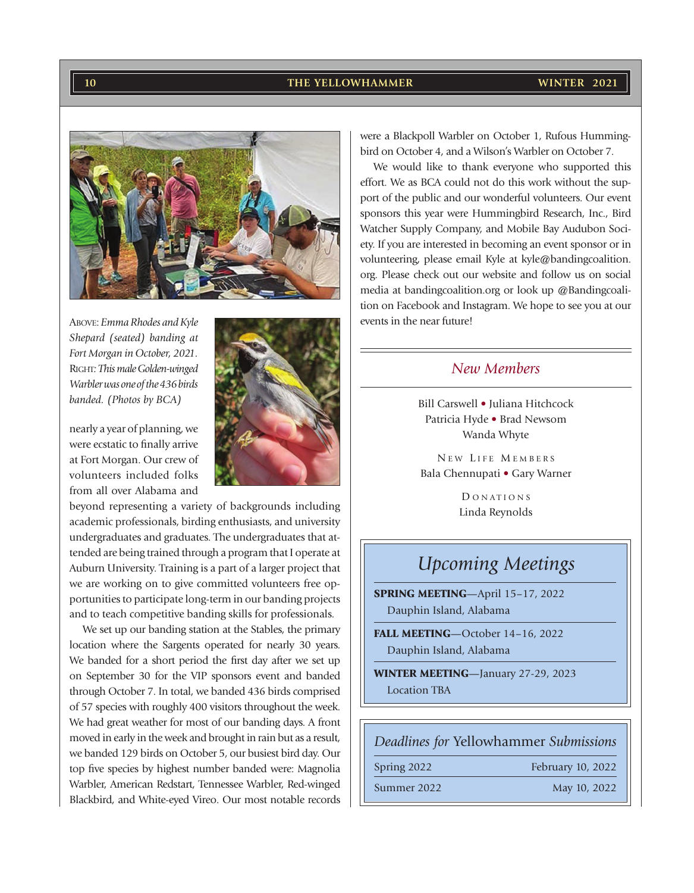#### **THE YELLOWHAMMER 10 WINTER 2021**



*Shepard (seated) banding at Fort Morgan in October, 2021.* RIGHT*: This male Golden-winged Warbler was one of the 436 birds banded. (Photos by BCA)*

nearly a year of planning, we were ecstatic to finally arrive at Fort Morgan. Our crew of volunteers included folks from all over Alabama and



beyond representing a variety of backgrounds including academic professionals, birding enthusiasts, and university undergraduates and graduates. The undergraduates that attended are being trained through a program that I operate at Auburn University. Training is a part of a larger project that we are working on to give committed volunteers free opportunities to participate long-term in our banding projects and to teach competitive banding skills for professionals.

We set up our banding station at the Stables, the primary location where the Sargents operated for nearly 30 years. We banded for a short period the first day after we set up on September 30 for the VIP sponsors event and banded through October 7. In total, we banded 436 birds comprised of 57 species with roughly 400 visitors throughout the week. We had great weather for most of our banding days. A front moved in early in the week and brought in rain but as a result, we banded 129 birds on October 5, our busiest bird day. Our top five species by highest number banded were: Magnolia Warbler, American Redstart, Tennessee Warbler, Red-winged Blackbird, and White-eyed Vireo. Our most notable records were a Blackpoll Warbler on October 1, Rufous Hummingbird on October 4, and a Wilson's Warbler on October 7.

We would like to thank everyone who supported this effort. We as BCA could not do this work without the support of the public and our wonderful volunteers. Our event sponsors this year were Hummingbird Research, Inc., Bird Watcher Supply Company, and Mobile Bay Audubon Society. If you are interested in becoming an event sponsor or in volunteering, please email Kyle at kyle@bandingcoalition. org. Please check out our website and follow us on social media at bandingcoalition.org or look up @Bandingcoalition on Facebook and Instagram. We hope to see you at our

### *New Members*

Bill Carswell • Juliana Hitchcock Patricia Hyde • Brad Newsom Wanda Whyte

NEW LIFE MEMBERS Bala Chennupati • Gary Warner

> D O N AT I O N S Linda Reynolds

## *Upcoming Meetings*

SPRING MEETING—April 15–17, 2022 Dauphin Island, Alabama

FALL MEETING—October 14–16, 2022 Dauphin Island, Alabama

WINTER MEETING—January 27-29, 2023 Location TBA

*Deadlines for* Yellowhammer *Submissions*

Spring 2022 February 10, 2022

Summer 2022 May 10, 2022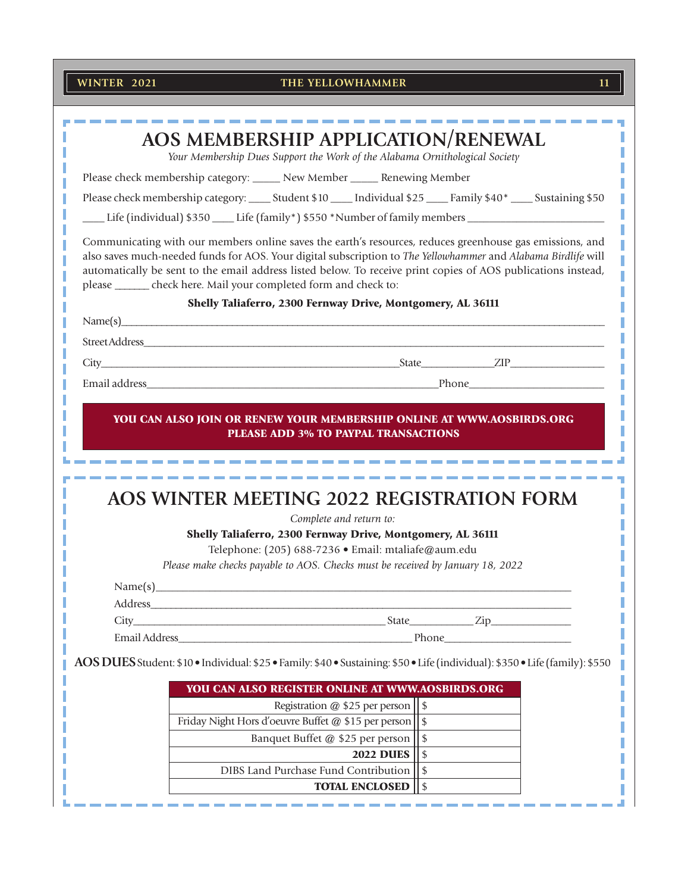#### **THE YELLOWHAMMER THE YELLOWHAMMER**

| AOS MEMBERSHIP APPLICATION/RENEWAL                                                                                                                                                                                                                                                                                                                                                                              |                                        |  |  |
|-----------------------------------------------------------------------------------------------------------------------------------------------------------------------------------------------------------------------------------------------------------------------------------------------------------------------------------------------------------------------------------------------------------------|----------------------------------------|--|--|
| Your Membership Dues Support the Work of the Alabama Ornithological Society                                                                                                                                                                                                                                                                                                                                     |                                        |  |  |
| Please check membership category: _____ New Member _____ Renewing Member                                                                                                                                                                                                                                                                                                                                        |                                        |  |  |
| Please check membership category: ______ Student \$10 ______ Individual \$25 _____ Family \$40* _____ Sustaining \$50                                                                                                                                                                                                                                                                                           |                                        |  |  |
| Life (individual) \$350 ____ Life (family*) \$550 *Number of family members __________________________                                                                                                                                                                                                                                                                                                          |                                        |  |  |
| Communicating with our members online saves the earth's resources, reduces greenhouse gas emissions, and<br>also saves much-needed funds for AOS. Your digital subscription to The Yellowhammer and Alabama Birdlife will<br>automatically be sent to the email address listed below. To receive print copies of AOS publications instead,<br>please _______ check here. Mail your completed form and check to: |                                        |  |  |
| Shelly Taliaferro, 2300 Fernway Drive, Montgomery, AL 36111                                                                                                                                                                                                                                                                                                                                                     |                                        |  |  |
| Name(s)                                                                                                                                                                                                                                                                                                                                                                                                         |                                        |  |  |
|                                                                                                                                                                                                                                                                                                                                                                                                                 |                                        |  |  |
|                                                                                                                                                                                                                                                                                                                                                                                                                 |                                        |  |  |
|                                                                                                                                                                                                                                                                                                                                                                                                                 |                                        |  |  |
|                                                                                                                                                                                                                                                                                                                                                                                                                 |                                        |  |  |
| AOS WINTER MEETING 2022 REGISTRATION FORM                                                                                                                                                                                                                                                                                                                                                                       |                                        |  |  |
| Complete and return to:                                                                                                                                                                                                                                                                                                                                                                                         |                                        |  |  |
| Shelly Taliaferro, 2300 Fernway Drive, Montgomery, AL 36111                                                                                                                                                                                                                                                                                                                                                     |                                        |  |  |
| Telephone: (205) 688-7236 · Email: mtaliafe@aum.edu                                                                                                                                                                                                                                                                                                                                                             |                                        |  |  |
| Please make checks payable to AOS. Checks must be received by January 18, 2022                                                                                                                                                                                                                                                                                                                                  |                                        |  |  |
| Name(s)                                                                                                                                                                                                                                                                                                                                                                                                         |                                        |  |  |
|                                                                                                                                                                                                                                                                                                                                                                                                                 |                                        |  |  |
| $State$ $Zip$<br>City                                                                                                                                                                                                                                                                                                                                                                                           |                                        |  |  |
|                                                                                                                                                                                                                                                                                                                                                                                                                 |                                        |  |  |
| AOS DUES Student: \$10 . Individual: \$25 . Family: \$40 . Sustaining: \$50 . Life (individual): \$350 . Life (family): \$550                                                                                                                                                                                                                                                                                   |                                        |  |  |
| YOU CAN ALSO REGISTER ONLINE AT WWW.AOSBIRDS.ORG                                                                                                                                                                                                                                                                                                                                                                |                                        |  |  |
| Registration @ \$25 per person                                                                                                                                                                                                                                                                                                                                                                                  | \$                                     |  |  |
| Friday Night Hors d'oeuvre Buffet @ \$15 per person                                                                                                                                                                                                                                                                                                                                                             | $\frac{1}{2}$                          |  |  |
| Banquet Buffet @ \$25 per person                                                                                                                                                                                                                                                                                                                                                                                |                                        |  |  |
|                                                                                                                                                                                                                                                                                                                                                                                                                 | $\frac{1}{2}$                          |  |  |
| <b>2022 DUES</b>                                                                                                                                                                                                                                                                                                                                                                                                | \$                                     |  |  |
| DIBS Land Purchase Fund Contribution<br><b>TOTAL ENCLOSED</b>                                                                                                                                                                                                                                                                                                                                                   | $\boldsymbol{\hat{\varphi}}$<br>$\$\,$ |  |  |